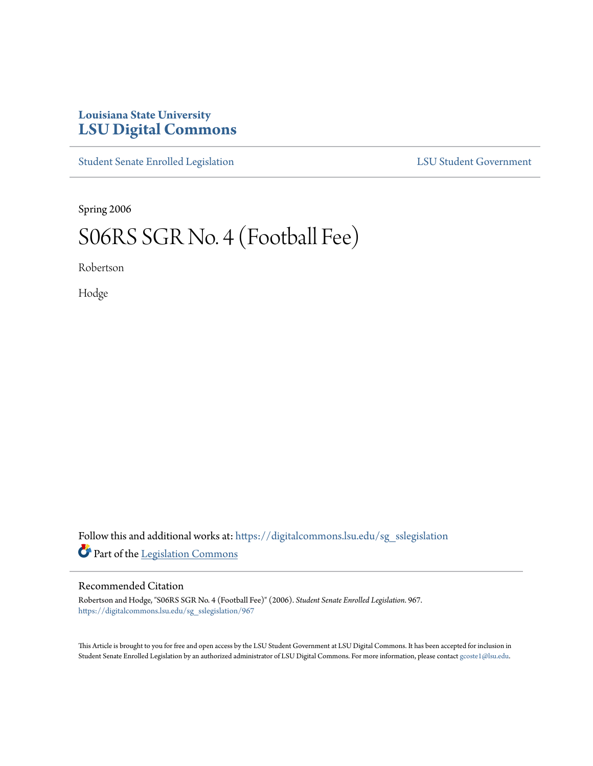## **Louisiana State University [LSU Digital Commons](https://digitalcommons.lsu.edu?utm_source=digitalcommons.lsu.edu%2Fsg_sslegislation%2F967&utm_medium=PDF&utm_campaign=PDFCoverPages)**

[Student Senate Enrolled Legislation](https://digitalcommons.lsu.edu/sg_sslegislation?utm_source=digitalcommons.lsu.edu%2Fsg_sslegislation%2F967&utm_medium=PDF&utm_campaign=PDFCoverPages) [LSU Student Government](https://digitalcommons.lsu.edu/sg?utm_source=digitalcommons.lsu.edu%2Fsg_sslegislation%2F967&utm_medium=PDF&utm_campaign=PDFCoverPages)

Spring 2006

## S06RS SGR No. 4 (Football Fee)

Robertson

Hodge

Follow this and additional works at: [https://digitalcommons.lsu.edu/sg\\_sslegislation](https://digitalcommons.lsu.edu/sg_sslegislation?utm_source=digitalcommons.lsu.edu%2Fsg_sslegislation%2F967&utm_medium=PDF&utm_campaign=PDFCoverPages) Part of the [Legislation Commons](http://network.bepress.com/hgg/discipline/859?utm_source=digitalcommons.lsu.edu%2Fsg_sslegislation%2F967&utm_medium=PDF&utm_campaign=PDFCoverPages)

## Recommended Citation

Robertson and Hodge, "S06RS SGR No. 4 (Football Fee)" (2006). *Student Senate Enrolled Legislation*. 967. [https://digitalcommons.lsu.edu/sg\\_sslegislation/967](https://digitalcommons.lsu.edu/sg_sslegislation/967?utm_source=digitalcommons.lsu.edu%2Fsg_sslegislation%2F967&utm_medium=PDF&utm_campaign=PDFCoverPages)

This Article is brought to you for free and open access by the LSU Student Government at LSU Digital Commons. It has been accepted for inclusion in Student Senate Enrolled Legislation by an authorized administrator of LSU Digital Commons. For more information, please contact [gcoste1@lsu.edu.](mailto:gcoste1@lsu.edu)